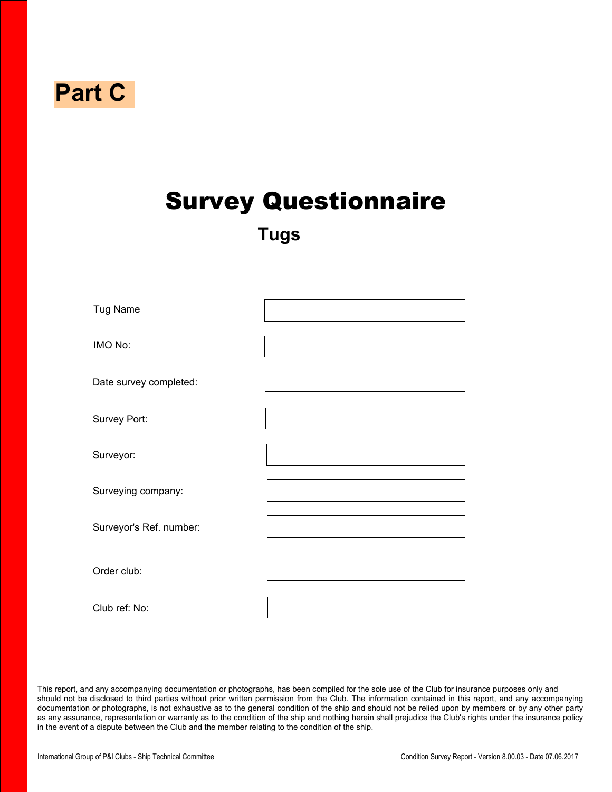| <b>Part C</b>           |                             |
|-------------------------|-----------------------------|
|                         | <b>Survey Questionnaire</b> |
|                         | <b>Tugs</b>                 |
| Tug Name                |                             |
| IMO No:                 |                             |
| Date survey completed:  |                             |
| Survey Port:            |                             |
| Surveyor:               |                             |
| Surveying company:      |                             |
| Surveyor's Ref. number: |                             |
| Order club:             | $\left  \cdot \right $      |
| Club ref: No:           |                             |

This report, and any accompanying documentation or photographs, has been compiled for the sole use of the Club for insurance purposes only and should not be disclosed to third parties without prior written permission from the Club. The information contained in this report, and any accompanying documentation or photographs, is not exhaustive as to the general condition of the ship and should not be relied upon by members or by any other party as any assurance, representation or warranty as to the condition of the ship and nothing herein shall prejudice the Club's rights under the insurance policy in the event of a dispute between the Club and the member relating to the condition of the ship.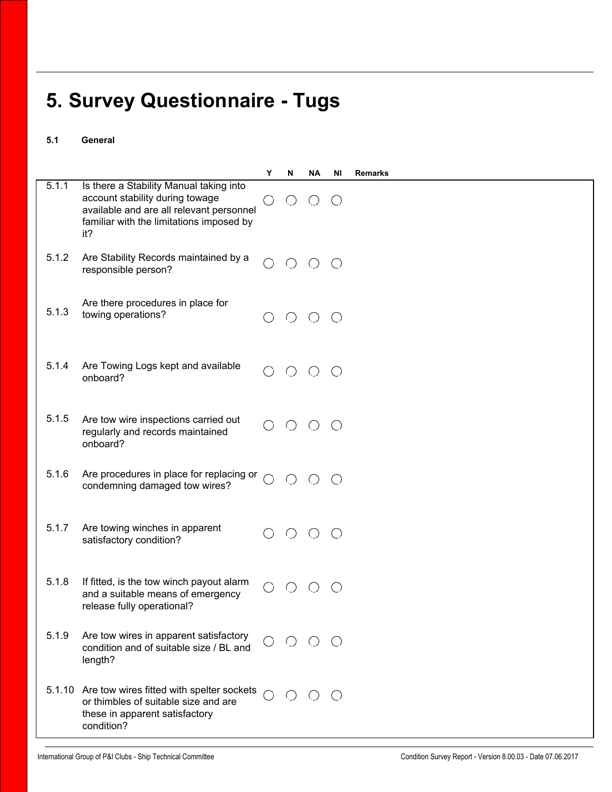## **5. Survey Questionnaire - Tugs**

## **5.1 General**

|       |                                                                                                                                                                           | Υ          | N           | <b>NA</b>                                   | ΝI              | <b>Remarks</b> |
|-------|---------------------------------------------------------------------------------------------------------------------------------------------------------------------------|------------|-------------|---------------------------------------------|-----------------|----------------|
| 5.1.1 | Is there a Stability Manual taking into<br>account stability during towage<br>available and are all relevant personnel<br>familiar with the limitations imposed by<br>it? | C)         | $\bigcirc$  | $\left(\begin{array}{c} \end{array}\right)$ | $\left(\right)$ |                |
| 5.1.2 | Are Stability Records maintained by a<br>responsible person?                                                                                                              | ◯          | $O$ $O$ $O$ |                                             |                 |                |
| 5.1.3 | Are there procedures in place for<br>towing operations?                                                                                                                   |            | $\bigcirc$  | $\bigcirc$                                  | $\bigcirc$      |                |
| 5.1.4 | Are Towing Logs kept and available<br>onboard?                                                                                                                            | $\bigcirc$ | $\bigcirc$  | $\bigcirc$                                  | $\bigcirc$      |                |
| 5.1.5 | Are tow wire inspections carried out<br>regularly and records maintained<br>onboard?                                                                                      |            | $O$ $O$     |                                             | $\bigcirc$      |                |
| 5.1.6 | Are procedures in place for replacing or<br>condemning damaged tow wires?                                                                                                 | ◯          | $O$ $O$     |                                             | $\bigcirc$      |                |
| 5.1.7 | Are towing winches in apparent<br>satisfactory condition?                                                                                                                 |            | $\bigcirc$  | $\bigcirc$                                  | $\bigcirc$      |                |
| 5.1.8 | If fitted, is the tow winch payout alarm<br>and a suitable means of emergency<br>release fully operational?                                                               |            |             |                                             |                 |                |
| 5.1.9 | Are tow wires in apparent satisfactory<br>condition and of suitable size / BL and<br>length?                                                                              |            | $\bigcirc$  | $O$ $O$                                     |                 |                |
|       | 5.1.10 Are tow wires fitted with spelter sockets<br>or thimbles of suitable size and are<br>these in apparent satisfactory<br>condition?                                  |            |             | ( )                                         | $\bigcirc$      |                |

 $\blacktriangleright$